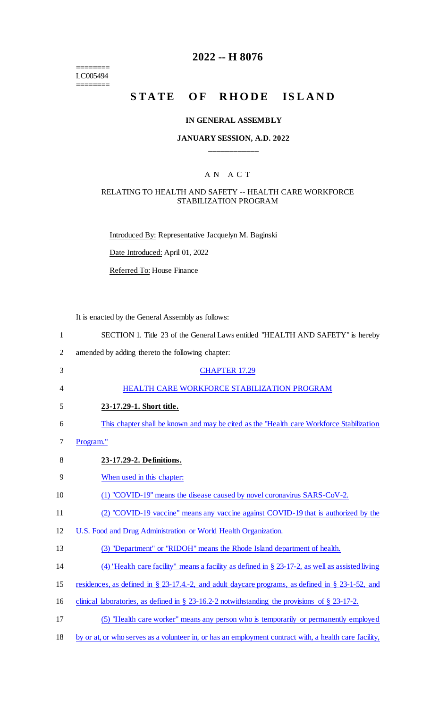======== LC005494

 $=$ 

## **2022 -- H 8076**

# **STATE OF RHODE ISLAND**

#### **IN GENERAL ASSEMBLY**

## **JANUARY SESSION, A.D. 2022 \_\_\_\_\_\_\_\_\_\_\_\_**

#### A N A C T

#### RELATING TO HEALTH AND SAFETY -- HEALTH CARE WORKFORCE STABILIZATION PROGRAM

Introduced By: Representative Jacquelyn M. Baginski

Date Introduced: April 01, 2022

Referred To: House Finance

It is enacted by the General Assembly as follows:

| $\mathbf{1}$   | SECTION 1. Title 23 of the General Laws entitled "HEALTH AND SAFETY" is hereby                      |
|----------------|-----------------------------------------------------------------------------------------------------|
| $\overline{2}$ | amended by adding thereto the following chapter:                                                    |
| 3              | <b>CHAPTER 17.29</b>                                                                                |
| 4              | HEALTH CARE WORKFORCE STABILIZATION PROGRAM                                                         |
| 5              | 23-17.29-1. Short title.                                                                            |
| 6              | This chapter shall be known and may be cited as the "Health care Workforce Stabilization"           |
| 7              | Program."                                                                                           |
| 8              | 23-17.29-2. Definitions.                                                                            |
| 9              | When used in this chapter:                                                                          |
| 10             | (1) "COVID-19" means the disease caused by novel coronavirus SARS-CoV-2.                            |
| 11             | (2) "COVID-19 vaccine" means any vaccine against COVID-19 that is authorized by the                 |
| 12             | U.S. Food and Drug Administration or World Health Organization.                                     |
| 13             | (3) "Department" or "RIDOH" means the Rhode Island department of health.                            |
| 14             | (4) "Health care facility" means a facility as defined in $\S 23-17-2$ , as well as assisted living |
| 15             | residences, as defined in § 23-17.4.-2, and adult daycare programs, as defined in § 23-1-52, and    |
| 16             | clinical laboratories, as defined in $\S$ 23-16.2-2 notwithstanding the provisions of $\S$ 23-17-2. |
| 17             | (5) "Health care worker" means any person who is temporarily or permanently employed                |
|                |                                                                                                     |

18 by or at, or who serves as a volunteer in, or has an employment contract with, a health care facility,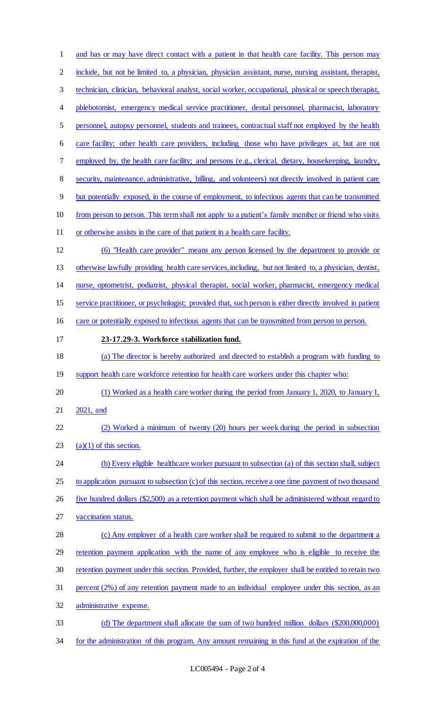1 and has or may have direct contact with a patient in that health care facility. This person may include, but not be limited to, a physician, physician assistant, nurse, nursing assistant, therapist, technician, clinician, behavioral analyst, social worker, occupational, physical or speech therapist, 4 phlebotomist, emergency medical service practitioner, dental personnel, pharmacist, laboratory personnel, autopsy personnel, students and trainees, contractual staff not employed by the health care facility; other health care providers, including those who have privileges at, but are not 7 employed by, the health care facility; and persons (e.g., clerical, dietary, housekeeping, laundry, security, maintenance, administrative, billing, and volunteers) not directly involved in patient care but potentially exposed, in the course of employment, to infectious agents that can be transmitted from person to person. This term shall not apply to a patient's family member or friend who visits or otherwise assists in the care of that patient in a health care facility. (6) "Health care provider" means any person licensed by the department to provide or otherwise lawfully providing health care services, including, but not limited to, a physician, dentist, nurse, optometrist, podiatrist, physical therapist, social worker, pharmacist, emergency medical service practitioner, or psychologist; provided that, such person is either directly involved in patient 16 care or potentially exposed to infectious agents that can be transmitted from person to person. **23-17.29-3. Workforce stabilization fund.**  (a) The director is hereby authorized and directed to establish a program with funding to 19 support health care workforce retention for health care workers under this chapter who: (1) Worked as a health care worker during the period from January 1, 2020, to January 1, 2021, and (2) Worked a minimum of twenty (20) hours per week during the period in subsection  $(a)(1)$  of this section. (b) Every eligible healthcare worker pursuant to subsection (a) of this section shall, subject 25 to application pursuant to subsection (c) of this section, receive a one time payment of two thousand 26 five hundred dollars (\$2,500) as a retention payment which shall be administered without regard to vaccination status. (c) Any employer of a health care worker shall be required to submit to the department a 29 retention payment application with the name of any employee who is eligible to receive the retention payment under this section. Provided, further, the employer shall be entitled to retain two percent (2%) of any retention payment made to an individual employee under this section, as an administrative expense. (d) The department shall allocate the sum of two hundred million dollars (\$200,000,000) for the administration of this program. Any amount remaining in this fund at the expiration of the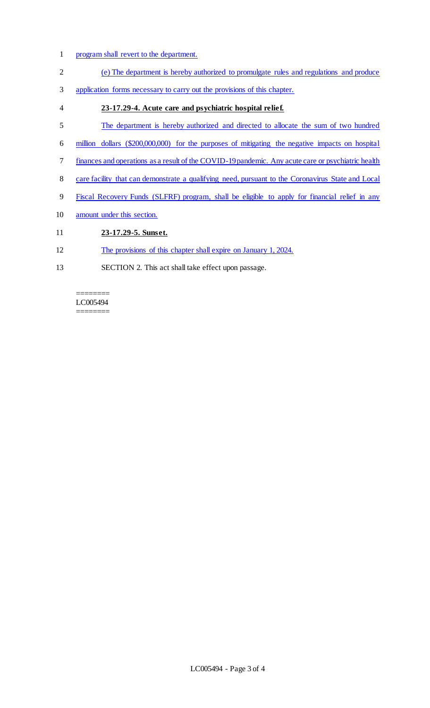- program shall revert to the department.
- (e) The department is hereby authorized to promulgate rules and regulations and produce
- application forms necessary to carry out the provisions of this chapter.
- **23-17.29-4. Acute care and psychiatric hospital relief.**
- The department is hereby authorized and directed to allocate the sum of two hundred
- million dollars (\$200,000,000) for the purposes of mitigating the negative impacts on hospital
- finances and operations as a result of the COVID-19 pandemic. Any acute care or psychiatric health
- 8 care facility that can demonstrate a qualifying need, pursuant to the Coronavirus State and Local
- Fiscal Recovery Funds (SLFRF) program, shall be eligible to apply for financial relief in any
- amount under this section.
- **23-17.29-5. Sunset.**
- The provisions of this chapter shall expire on January 1, 2024.
- SECTION 2. This act shall take effect upon passage.

#### ======== LC005494 ========